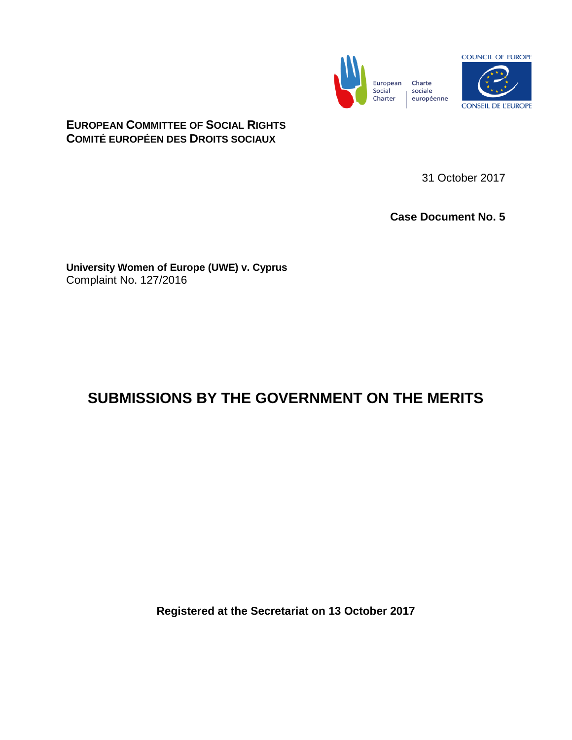



# **EUROPEAN COMMITTEE OF SOCIAL RIGHTS COMITÉ EUROPÉEN DES DROITS SOCIAUX**

31 October 2017

**Case Document No. 5**

**University Women of Europe (UWE) v. Cyprus** Complaint No. 127/2016

# **SUBMISSIONS BY THE GOVERNMENT ON THE MERITS**

**Registered at the Secretariat on 13 October 2017**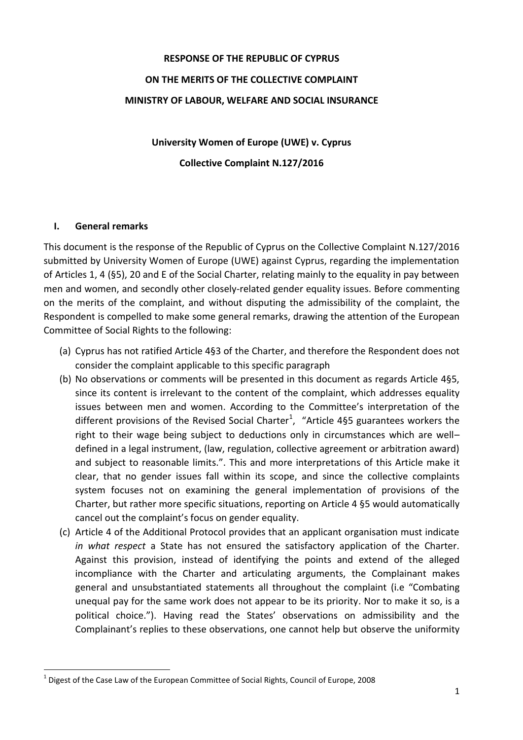# **RESPONSE OF THE REPUBLIC OF CYPRUS ON THE MERITS OF THE COLLECTIVE COMPLAINT MINISTRY OF LABOUR, WELFARE AND SOCIAL INSURANCE**

**University Women of Europe (UWE) v. Cyprus Collective Complaint N.127/2016**

#### **I. General remarks**

 $\overline{a}$ 

This document is the response of the Republic of Cyprus on the Collective Complaint N.127/2016 submitted by University Women of Europe (UWE) against Cyprus, regarding the implementation of Articles 1, 4 (§5), 20 and E of the Social Charter, relating mainly to the equality in pay between men and women, and secondly other closely-related gender equality issues. Before commenting on the merits of the complaint, and without disputing the admissibility of the complaint, the Respondent is compelled to make some general remarks, drawing the attention of the European Committee of Social Rights to the following:

- (a) Cyprus has not ratified Article 4§3 of the Charter, and therefore the Respondent does not consider the complaint applicable to this specific paragraph
- (b) No observations or comments will be presented in this document as regards Article 4§5, since its content is irrelevant to the content of the complaint, which addresses equality issues between men and women. According to the Committee's interpretation of the different provisions of the Revised Social Charter<sup>1</sup>, "Article 4§5 guarantees workers the right to their wage being subject to deductions only in circumstances which are well– defined in a legal instrument, (law, regulation, collective agreement or arbitration award) and subject to reasonable limits.". This and more interpretations of this Article make it clear, that no gender issues fall within its scope, and since the collective complaints system focuses not on examining the general implementation of provisions of the Charter, but rather more specific situations, reporting on Article 4 §5 would automatically cancel out the complaint's focus on gender equality.
- (c) Article 4 of the Additional Protocol provides that an applicant organisation must indicate *in what respect* a State has not ensured the satisfactory application of the Charter. Against this provision, instead of identifying the points and extend of the alleged incompliance with the Charter and articulating arguments, the Complainant makes general and unsubstantiated statements all throughout the complaint (i.e "Combating unequal pay for the same work does not appear to be its priority. Nor to make it so, is a political choice."). Having read the States' observations on admissibility and the Complainant's replies to these observations, one cannot help but observe the uniformity

 $^1$  Digest of the Case Law of the European Committee of Social Rights, Council of Europe, 2008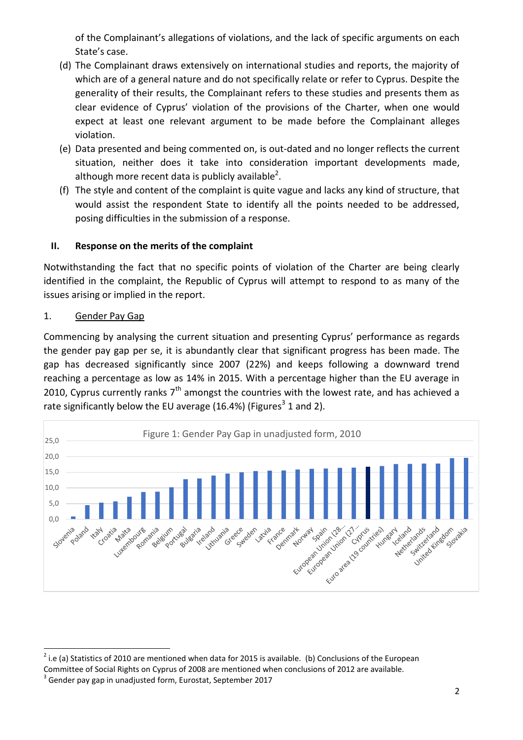of the Complainant's allegations of violations, and the lack of specific arguments on each State's case.

- (d) The Complainant draws extensively on international studies and reports, the majority of which are of a general nature and do not specifically relate or refer to Cyprus. Despite the generality of their results, the Complainant refers to these studies and presents them as clear evidence of Cyprus' violation of the provisions of the Charter, when one would expect at least one relevant argument to be made before the Complainant alleges violation.
- (e) Data presented and being commented on, is out-dated and no longer reflects the current situation, neither does it take into consideration important developments made, although more recent data is publicly available<sup>2</sup>.
- (f) The style and content of the complaint is quite vague and lacks any kind of structure, that would assist the respondent State to identify all the points needed to be addressed, posing difficulties in the submission of a response.

# **II. Response on the merits of the complaint**

Notwithstanding the fact that no specific points of violation of the Charter are being clearly identified in the complaint, the Republic of Cyprus will attempt to respond to as many of the issues arising or implied in the report.

# 1. Gender Pay Gap

Commencing by analysing the current situation and presenting Cyprus' performance as regards the gender pay gap per se, it is abundantly clear that significant progress has been made. The gap has decreased significantly since 2007 (22%) and keeps following a downward trend reaching a percentage as low as 14% in 2015. With a percentage higher than the EU average in 2010, Cyprus currently ranks  $7<sup>th</sup>$  amongst the countries with the lowest rate, and has achieved a rate significantly below the EU average (16.4%) (Figures<sup>3</sup> 1 and 2).



 $\overline{a}$  $2$  i.e (a) Statistics of 2010 are mentioned when data for 2015 is available. (b) Conclusions of the European Committee of Social Rights on Cyprus of 2008 are mentioned when conclusions of 2012 are available.

 $3$  Gender pay gap in unadjusted form, Eurostat, September 2017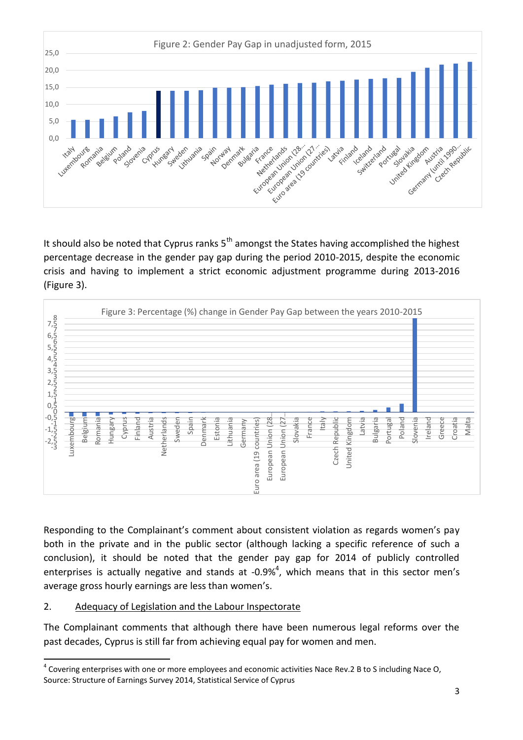

It should also be noted that Cyprus ranks  $5<sup>th</sup>$  amongst the States having accomplished the highest percentage decrease in the gender pay gap during the period 2010-2015, despite the economic crisis and having to implement a strict economic adjustment programme during 2013-2016 (Figure 3).



Responding to the Complainant's comment about consistent violation as regards women's pay both in the private and in the public sector (although lacking a specific reference of such a conclusion), it should be noted that the gender pay gap for 2014 of publicly controlled enterprises is actually negative and stands at -0.9%<sup>4</sup>, which means that in this sector men's average gross hourly earnings are less than women's.

#### 2. Adequacy of Legislation and the Labour Inspectorate

The Complainant comments that although there have been numerous legal reforms over the past decades, Cyprus is still far from achieving equal pay for women and men.

 $\overline{a}$  $^4$  Covering enterprises with one or more employees and economic activities Nace Rev.2 B to S including Nace O, Source: Structure of Earnings Survey 2014, Statistical Service of Cyprus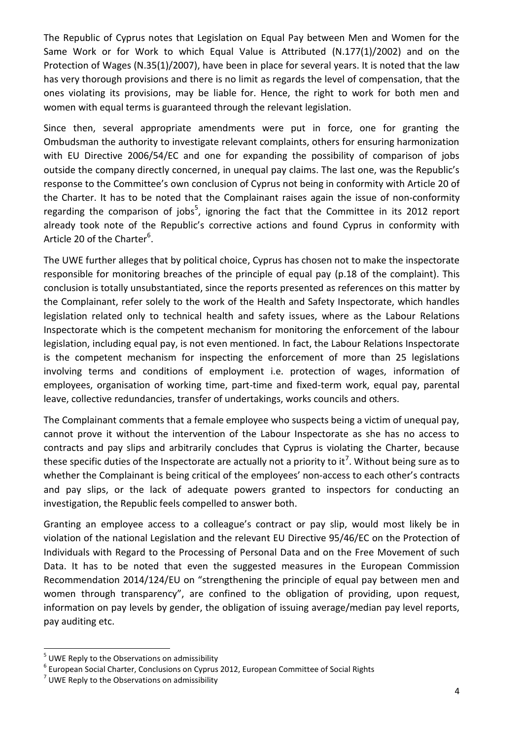The Republic of Cyprus notes that Legislation on Equal Pay between Men and Women for the Same Work or for Work to which Equal Value is Attributed (N.177(1)/2002) and on the Protection of Wages (N.35(1)/2007), have been in place for several years. It is noted that the law has very thorough provisions and there is no limit as regards the level of compensation, that the ones violating its provisions, may be liable for. Hence, the right to work for both men and women with equal terms is guaranteed through the relevant legislation.

Since then, several appropriate amendments were put in force, one for granting the Ombudsman the authority to investigate relevant complaints, others for ensuring harmonization with EU Directive 2006/54/EC and one for expanding the possibility of comparison of jobs outside the company directly concerned, in unequal pay claims. The last one, was the Republic's response to the Committee's own conclusion of Cyprus not being in conformity with Article 20 of the Charter. It has to be noted that the Complainant raises again the issue of non-conformity regarding the comparison of jobs<sup>5</sup>, ignoring the fact that the Committee in its 2012 report already took note of the Republic's corrective actions and found Cyprus in conformity with Article 20 of the Charter<sup>6</sup>.

The UWE further alleges that by political choice, Cyprus has chosen not to make the inspectorate responsible for monitoring breaches of the principle of equal pay (p.18 of the complaint). This conclusion is totally unsubstantiated, since the reports presented as references on this matter by the Complainant, refer solely to the work of the Health and Safety Inspectorate, which handles legislation related only to technical health and safety issues, where as the Labour Relations Inspectorate which is the competent mechanism for monitoring the enforcement of the labour legislation, including equal pay, is not even mentioned. In fact, the Labour Relations Inspectorate is the competent mechanism for inspecting the enforcement of more than 25 legislations involving terms and conditions of employment i.e. protection of wages, information of employees, organisation of working time, part-time and fixed-term work, equal pay, parental leave, collective redundancies, transfer of undertakings, works councils and others.

The Complainant comments that a female employee who suspects being a victim of unequal pay, cannot prove it without the intervention of the Labour Inspectorate as she has no access to contracts and pay slips and arbitrarily concludes that Cyprus is violating the Charter, because these specific duties of the Inspectorate are actually not a priority to it<sup>7</sup>. Without being sure as to whether the Complainant is being critical of the employees' non-access to each other's contracts and pay slips, or the lack of adequate powers granted to inspectors for conducting an investigation, the Republic feels compelled to answer both.

Granting an employee access to a colleague's contract or pay slip, would most likely be in violation of the national Legislation and the relevant EU Directive 95/46/EC on the Protection of Individuals with Regard to the Processing of Personal Data and on the Free Movement of such Data. It has to be noted that even the suggested measures in the European Commission Recommendation 2014/124/EU on "strengthening the principle of equal pay between men and women through transparency", are confined to the obligation of providing, upon request, information on pay levels by gender, the obligation of issuing average/median pay level reports, pay auditing etc.

 $\overline{a}$ 

 $<sup>5</sup>$  UWE Reply to the Observations on admissibility</sup>

<sup>6</sup> European Social Charter, Conclusions on Cyprus 2012, European Committee of Social Rights

 $^7$  UWE Reply to the Observations on admissibility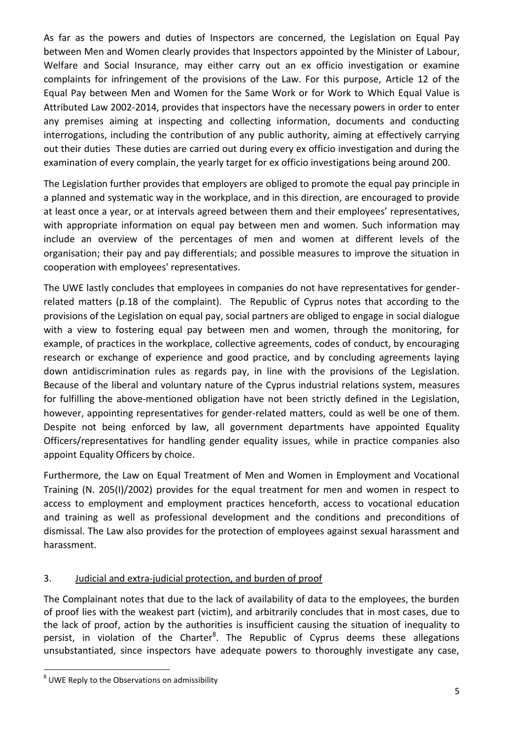As far as the powers and duties of Inspectors are concerned, the Legislation on Equal Pay between Men and Women clearly provides that Inspectors appointed by the Minister of Labour, Welfare and Social Insurance, may either carry out an ex officio investigation or examine complaints for infringement of the provisions of the Law. For this purpose, Article 12 of the Equal Pay between Men and Women for the Same Work or for Work to Which Equal Value is Attributed Law 2002-2014, provides that inspectors have the necessary powers in order to enter any premises aiming at inspecting and collecting information, documents and conducting interrogations, including the contribution of any public authority, aiming at effectively carrying out their duties These duties are carried out during every ex officio investigation and during the examination of every complain, the yearly target for ex officio investigations being around 200.

The Legislation further provides that employers are obliged to promote the equal pay principle in a planned and systematic way in the workplace, and in this direction, are encouraged to provide at least once a year, or at intervals agreed between them and their employees' representatives, with appropriate information on equal pay between men and women. Such information may include an overview of the percentages of men and women at different levels of the organisation; their pay and pay differentials; and possible measures to improve the situation in cooperation with employees' representatives.

The UWE lastly concludes that employees in companies do not have representatives for genderrelated matters (p.18 of the complaint). The Republic of Cyprus notes that according to the provisions of the Legislation on equal pay, social partners are obliged to engage in social dialogue with a view to fostering equal pay between men and women, through the monitoring, for example, of practices in the workplace, collective agreements, codes of conduct, by encouraging research or exchange of experience and good practice, and by concluding agreements laying down antidiscrimination rules as regards pay, in line with the provisions of the Legislation. Because of the liberal and voluntary nature of the Cyprus industrial relations system, measures for fulfilling the above-mentioned obligation have not been strictly defined in the Legislation, however, appointing representatives for gender-related matters, could as well be one of them. Despite not being enforced by law, all government departments have appointed Equality Officers/representatives for handling gender equality issues, while in practice companies also appoint Equality Officers by choice.

Furthermore, the Law on Equal Treatment of Men and Women in Employment and Vocational Training (N. 205(I)/2002) provides for the equal treatment for men and women in respect to access to employment and employment practices henceforth, access to vocational education and training as well as professional development and the conditions and preconditions of dismissal. The Law also provides for the protection of employees against sexual harassment and harassment.

# 3. Judicial and extra-judicial protection, and burden of proof

The Complainant notes that due to the lack of availability of data to the employees, the burden of proof lies with the weakest part (victim), and arbitrarily concludes that in most cases, due to the lack of proof, action by the authorities is insufficient causing the situation of inequality to persist, in violation of the Charter<sup>8</sup>. The Republic of Cyprus deems these allegations unsubstantiated, since inspectors have adequate powers to thoroughly investigate any case,

 $\overline{a}$ 

 $^8$  UWE Reply to the Observations on admissibility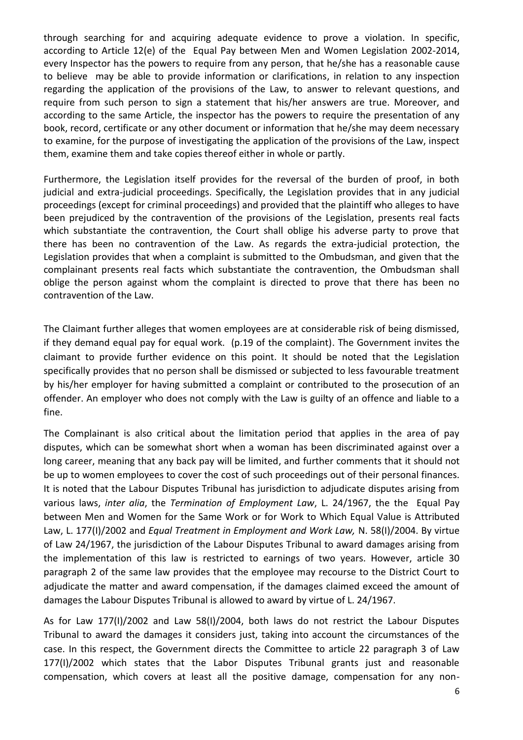through searching for and acquiring adequate evidence to prove a violation. In specific, according to Article 12(e) of the Equal Pay between Men and Women Legislation 2002-2014, every Inspector has the powers to require from any person, that he/she has a reasonable cause to believe may be able to provide information or clarifications, in relation to any inspection regarding the application of the provisions of the Law, to answer to relevant questions, and require from such person to sign a statement that his/her answers are true. Moreover, and according to the same Article, the inspector has the powers to require the presentation of any book, record, certificate or any other document or information that he/she may deem necessary to examine, for the purpose of investigating the application of the provisions of the Law, inspect them, examine them and take copies thereof either in whole or partly.

Furthermore, the Legislation itself provides for the reversal of the burden of proof, in both judicial and extra-judicial proceedings. Specifically, the Legislation provides that in any judicial proceedings (except for criminal proceedings) and provided that the plaintiff who alleges to have been prejudiced by the contravention of the provisions of the Legislation, presents real facts which substantiate the contravention, the Court shall oblige his adverse party to prove that there has been no contravention of the Law. As regards the extra-judicial protection, the Legislation provides that when a complaint is submitted to the Ombudsman, and given that the complainant presents real facts which substantiate the contravention, the Ombudsman shall oblige the person against whom the complaint is directed to prove that there has been no contravention of the Law.

The Claimant further alleges that women employees are at considerable risk of being dismissed, if they demand equal pay for equal work. (p.19 of the complaint). The Government invites the claimant to provide further evidence on this point. It should be noted that the Legislation specifically provides that no person shall be dismissed or subjected to less favourable treatment by his/her employer for having submitted a complaint or contributed to the prosecution of an offender. An employer who does not comply with the Law is guilty of an offence and liable to a fine.

The Complainant is also critical about the limitation period that applies in the area of pay disputes, which can be somewhat short when a woman has been discriminated against over a long career, meaning that any back pay will be limited, and further comments that it should not be up to women employees to cover the cost of such proceedings out of their personal finances. It is noted that the Labour Disputes Tribunal has jurisdiction to adjudicate disputes arising from various laws, *inter alia*, the *Termination of Employment Law*, L. 24/1967, the the Equal Pay between Men and Women for the Same Work or for Work to Which Equal Value is Attributed Law, L. 177(I)/2002 and *Equal Treatment in Employment and Work Law,* N. 58(I)/2004. By virtue of Law 24/1967, the jurisdiction of the Labour Disputes Tribunal to award damages arising from the implementation of this law is restricted to earnings of two years. However, article 30 paragraph 2 of the same law provides that the employee may recourse to the District Court to adjudicate the matter and award compensation, if the damages claimed exceed the amount of damages the Labour Disputes Tribunal is allowed to award by virtue of L. 24/1967.

As for Law 177(I)/2002 and Law 58(I)/2004, both laws do not restrict the Labour Disputes Tribunal to award the damages it considers just, taking into account the circumstances of the case. In this respect, the Government directs the Committee to article 22 paragraph 3 of Law 177(I)/2002 which states that the Labor Disputes Tribunal grants just and reasonable compensation, which covers at least all the positive damage, compensation for any non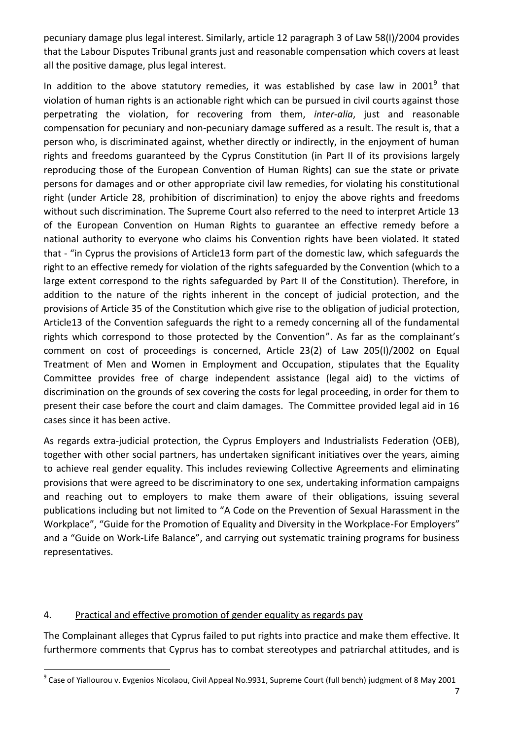pecuniary damage plus legal interest. Similarly, article 12 paragraph 3 of Law 58(I)/2004 provides that the Labour Disputes Tribunal grants just and reasonable compensation which covers at least all the positive damage, plus legal interest.

In addition to the above statutory remedies, it was established by case law in 2001<sup>9</sup> that violation of human rights is an actionable right which can be pursued in civil courts against those perpetrating the violation, for recovering from them, *inter-alia*, just and reasonable compensation for pecuniary and non-pecuniary damage suffered as a result. The result is, that a person who, is discriminated against, whether directly or indirectly, in the enjoyment of human rights and freedoms guaranteed by the Cyprus Constitution (in Part II of its provisions largely reproducing those of the European Convention of Human Rights) can sue the state or private persons for damages and or other appropriate civil law remedies, for violating his constitutional right (under Article 28, prohibition of discrimination) to enjoy the above rights and freedoms without such discrimination. The Supreme Court also referred to the need to interpret Article 13 of the European Convention on Human Rights to guarantee an effective remedy before a national authority to everyone who claims his Convention rights have been violated. It stated that - "in Cyprus the provisions of Article13 form part of the domestic law, which safeguards the right to an effective remedy for violation of the rights safeguarded by the Convention (which to a large extent correspond to the rights safeguarded by Part II of the Constitution). Therefore, in addition to the nature of the rights inherent in the concept of judicial protection, and the provisions of Article 35 of the Constitution which give rise to the obligation of judicial protection, Article13 of the Convention safeguards the right to a remedy concerning all of the fundamental rights which correspond to those protected by the Convention". As far as the complainant's comment on cost of proceedings is concerned, Article 23(2) of Law 205(I)/2002 on Equal Treatment of Men and Women in Employment and Occupation, stipulates that the Equality Committee provides free of charge independent assistance (legal aid) to the victims of discrimination on the grounds of sex covering the costs for legal proceeding, in order for them to present their case before the court and claim damages. The Committee provided legal aid in 16 cases since it has been active.

As regards extra-judicial protection, the Cyprus Employers and Industrialists Federation (OEB), together with other social partners, has undertaken significant initiatives over the years, aiming to achieve real gender equality. This includes reviewing Collective Agreements and eliminating provisions that were agreed to be discriminatory to one sex, undertaking information campaigns and reaching out to employers to make them aware of their obligations, issuing several publications including but not limited to "A Code on the Prevention of Sexual Harassment in the Workplace", "Guide for the Promotion of Equality and Diversity in the Workplace-For Employers" and a "Guide on Work-Life Balance", and carrying out systematic training programs for business representatives.

#### 4. Practical and effective promotion of gender equality as regards pay

The Complainant alleges that Cyprus failed to put rights into practice and make them effective. It furthermore comments that Cyprus has to combat stereotypes and patriarchal attitudes, and is

 $\overline{a}$ <sup>9</sup> Case of <u>Yiallourou v. Evgenios Nicolaou</u>, Civil Appeal No.9931, Supreme Court (full bench) judgment of 8 May 2001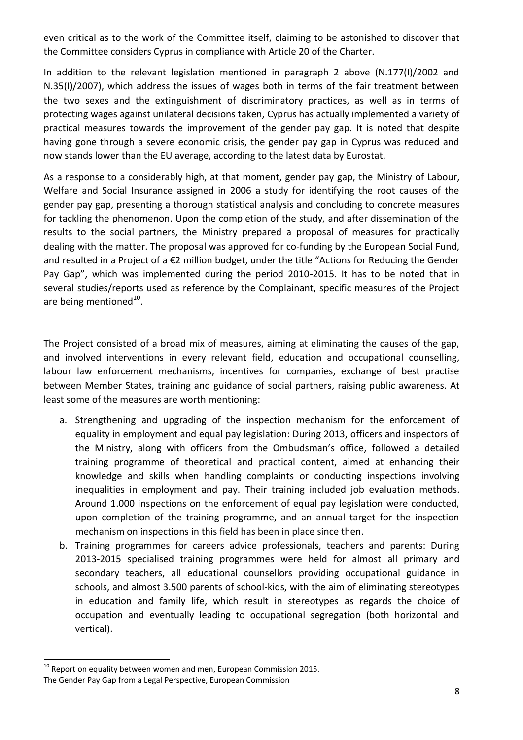even critical as to the work of the Committee itself, claiming to be astonished to discover that the Committee considers Cyprus in compliance with Article 20 of the Charter.

In addition to the relevant legislation mentioned in paragraph 2 above (N.177(I)/2002 and N.35(I)/2007), which address the issues of wages both in terms of the fair treatment between the two sexes and the extinguishment of discriminatory practices, as well as in terms of protecting wages against unilateral decisions taken, Cyprus has actually implemented a variety of practical measures towards the improvement of the gender pay gap. It is noted that despite having gone through a severe economic crisis, the gender pay gap in Cyprus was reduced and now stands lower than the EU average, according to the latest data by Eurostat.

As a response to a considerably high, at that moment, gender pay gap, the Ministry of Labour, Welfare and Social Insurance assigned in 2006 a study for identifying the root causes of the gender pay gap, presenting a thorough statistical analysis and concluding to concrete measures for tackling the phenomenon. Upon the completion of the study, and after dissemination of the results to the social partners, the Ministry prepared a proposal of measures for practically dealing with the matter. The proposal was approved for co-funding by the European Social Fund, and resulted in a Project of a €2 million budget, under the title "Actions for Reducing the Gender Pay Gap", which was implemented during the period 2010-2015. It has to be noted that in several studies/reports used as reference by the Complainant, specific measures of the Project are being mentioned $^{10}$ .

The Project consisted of a broad mix of measures, aiming at eliminating the causes of the gap, and involved interventions in every relevant field, education and occupational counselling, labour law enforcement mechanisms, incentives for companies, exchange of best practise between Member States, training and guidance of social partners, raising public awareness. At least some of the measures are worth mentioning:

- a. Strengthening and upgrading of the inspection mechanism for the enforcement of equality in employment and equal pay legislation: During 2013, officers and inspectors of the Ministry, along with officers from the Ombudsman's office, followed a detailed training programme of theoretical and practical content, aimed at enhancing their knowledge and skills when handling complaints or conducting inspections involving inequalities in employment and pay. Their training included job evaluation methods. Around 1.000 inspections on the enforcement of equal pay legislation were conducted, upon completion of the training programme, and an annual target for the inspection mechanism on inspections in this field has been in place since then.
- b. Training programmes for careers advice professionals, teachers and parents: During 2013-2015 specialised training programmes were held for almost all primary and secondary teachers, all educational counsellors providing occupational guidance in schools, and almost 3.500 parents of school-kids, with the aim of eliminating stereotypes in education and family life, which result in stereotypes as regards the choice of occupation and eventually leading to occupational segregation (both horizontal and vertical).

 $\overline{a}$ 

 $10$  Report on equality between women and men, European Commission 2015.

The Gender Pay Gap from a Legal Perspective, European Commission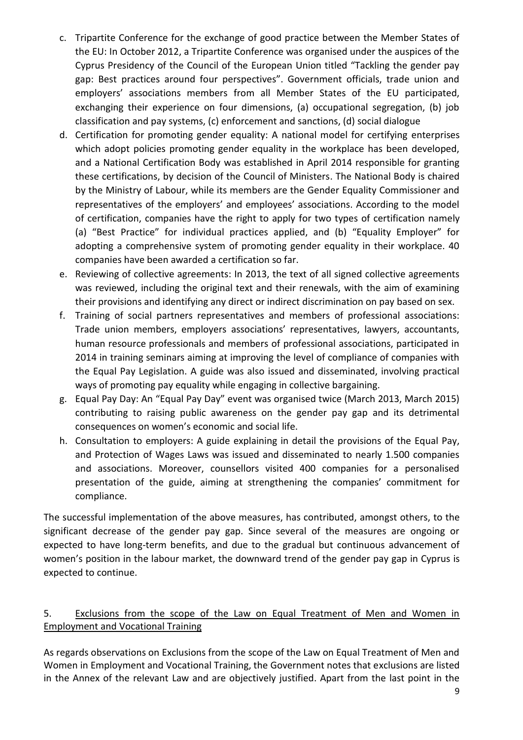- c. Tripartite Conference for the exchange of good practice between the Member States of the EU: In October 2012, a Tripartite Conference was organised under the auspices of the Cyprus Presidency of the Council of the European Union titled "Tackling the gender pay gap: Best practices around four perspectives". Government officials, trade union and employers' associations members from all Member States of the EU participated, exchanging their experience on four dimensions, (a) occupational segregation, (b) job classification and pay systems, (c) enforcement and sanctions, (d) social dialogue
- d. Certification for promoting gender equality: A national model for certifying enterprises which adopt policies promoting gender equality in the workplace has been developed, and a National Certification Body was established in April 2014 responsible for granting these certifications, by decision of the Council of Ministers. The National Body is chaired by the Ministry of Labour, while its members are the Gender Equality Commissioner and representatives of the employers' and employees' associations. According to the model of certification, companies have the right to apply for two types of certification namely (a) "Best Practice" for individual practices applied, and (b) "Equality Employer" for adopting a comprehensive system of promoting gender equality in their workplace. 40 companies have been awarded a certification so far.
- e. Reviewing of collective agreements: In 2013, the text of all signed collective agreements was reviewed, including the original text and their renewals, with the aim of examining their provisions and identifying any direct or indirect discrimination on pay based on sex.
- f. Training of social partners representatives and members of professional associations: Trade union members, employers associations' representatives, lawyers, accountants, human resource professionals and members of professional associations, participated in 2014 in training seminars aiming at improving the level of compliance of companies with the Equal Pay Legislation. A guide was also issued and disseminated, involving practical ways of promoting pay equality while engaging in collective bargaining.
- g. Equal Pay Day: An "Equal Pay Day" event was organised twice (March 2013, March 2015) contributing to raising public awareness on the gender pay gap and its detrimental consequences on women's economic and social life.
- h. Consultation to employers: A guide explaining in detail the provisions of the Equal Pay, and Protection of Wages Laws was issued and disseminated to nearly 1.500 companies and associations. Moreover, counsellors visited 400 companies for a personalised presentation of the guide, aiming at strengthening the companies' commitment for compliance.

The successful implementation of the above measures, has contributed, amongst others, to the significant decrease of the gender pay gap. Since several of the measures are ongoing or expected to have long-term benefits, and due to the gradual but continuous advancement of women's position in the labour market, the downward trend of the gender pay gap in Cyprus is expected to continue.

# 5. Exclusions from the scope of the Law on Equal Treatment of Men and Women in Employment and Vocational Training

As regards observations on Exclusions from the scope of the Law on Equal Treatment of Men and Women in Employment and Vocational Training, the Government notes that exclusions are listed in the Annex of the relevant Law and are objectively justified. Apart from the last point in the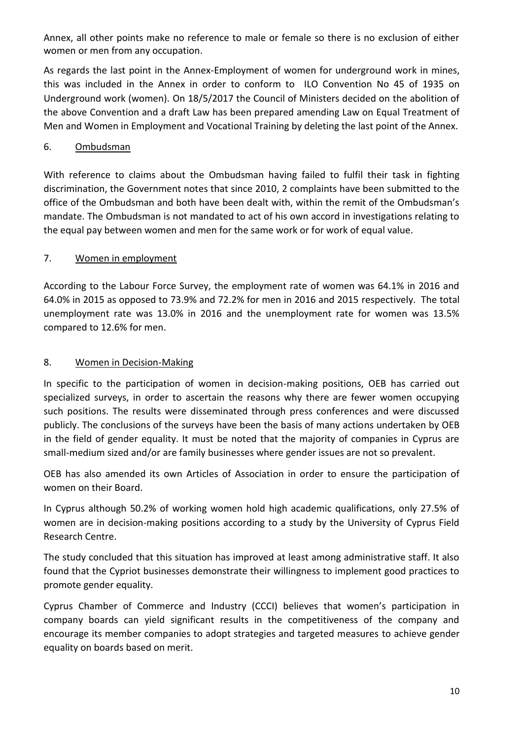Annex, all other points make no reference to male or female so there is no exclusion of either women or men from any occupation.

As regards the last point in the Annex-Employment of women for underground work in mines, this was included in the Annex in order to conform to ILO Convention No 45 of 1935 on Underground work (women). On 18/5/2017 the Council of Ministers decided on the abolition of the above Convention and a draft Law has been prepared amending Law on Equal Treatment of Men and Women in Employment and Vocational Training by deleting the last point of the Annex.

### 6. Ombudsman

With reference to claims about the Ombudsman having failed to fulfil their task in fighting discrimination, the Government notes that since 2010, 2 complaints have been submitted to the office of the Ombudsman and both have been dealt with, within the remit of the Ombudsman's mandate. The Ombudsman is not mandated to act of his own accord in investigations relating to the equal pay between women and men for the same work or for work of equal value.

#### 7. Women in employment

According to the Labour Force Survey, the employment rate of women was 64.1% in 2016 and 64.0% in 2015 as opposed to 73.9% and 72.2% for men in 2016 and 2015 respectively. The total unemployment rate was 13.0% in 2016 and the unemployment rate for women was 13.5% compared to 12.6% for men.

#### 8. Women in Decision-Making

In specific to the participation of women in decision-making positions, OEB has carried out specialized surveys, in order to ascertain the reasons why there are fewer women occupying such positions. The results were disseminated through press conferences and were discussed publicly. The conclusions of the surveys have been the basis of many actions undertaken by OEB in the field of gender equality. It must be noted that the majority of companies in Cyprus are small-medium sized and/or are family businesses where gender issues are not so prevalent.

OEB has also amended its own Articles of Association in order to ensure the participation of women on their Board.

In Cyprus although 50.2% of working women hold high academic qualifications, only 27.5% of women are in decision-making positions according to a study by the University of Cyprus Field Research Centre.

The study concluded that this situation has improved at least among administrative staff. It also found that the Cypriot businesses demonstrate their willingness to implement good practices to promote gender equality.

Cyprus Chamber of Commerce and Industry (CCCI) believes that women's participation in company boards can yield significant results in the competitiveness of the company and encourage its member companies to adopt strategies and targeted measures to achieve gender equality on boards based on merit.